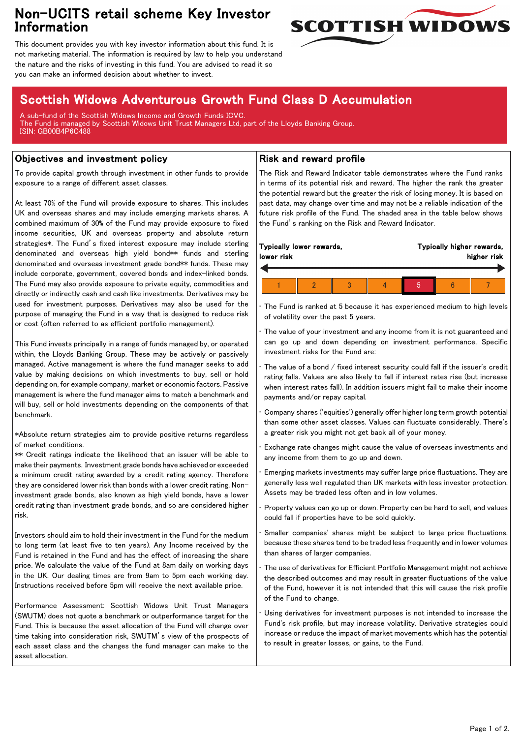## Non-UCITS retail scheme Key Investor Information



This document provides you with key investor information about this fund. It is not marketing material. The information is required by law to help you understand the nature and the risks of investing in this fund. You are advised to read it so you can make an informed decision about whether to invest.

# Scottish Widows Adventurous Growth Fund Class D Accumulation

A sub-fund of the Scottish Widows Income and Growth Funds ICVC. The Fund is managed by Scottish Widows Unit Trust Managers Ltd, part of the Lloyds Banking Group. ISIN: GB00B4P6C488

### Objectives and investment policy

To provide capital growth through investment in other funds to provide exposure to a range of different asset classes.

At least 70% of the Fund will provide exposure to shares. This includes UK and overseas shares and may include emerging markets shares. A combined maximum of 30% of the Fund may provide exposure to fixed income securities, UK and overseas property and absolute return strategies\*. The Fund's fixed interest exposure may include sterling denominated and overseas high yield bond\*\* funds and sterling denominated and overseas investment grade bond\*\* funds. These may include corporate, government, covered bonds and index-linked bonds. The Fund may also provide exposure to private equity, commodities and directly or indirectly cash and cash like investments. Derivatives may be used for investment purposes. Derivatives may also be used for the purpose of managing the Fund in a way that is designed to reduce risk or cost (often referred to as efficient portfolio management).

This Fund invests principally in a range of funds managed by, or operated within, the Lloyds Banking Group. These may be actively or passively managed. Active management is where the fund manager seeks to add value by making decisions on which investments to buy, sell or hold depending on, for example company, market or economic factors. Passive management is where the fund manager aims to match a benchmark and will buy, sell or hold investments depending on the components of that benchmark.

\*Absolute return strategies aim to provide positive returns regardless of market conditions.

\*\* Credit ratings indicate the likelihood that an issuer will be able to make their payments. Investment grade bonds have achieved or exceeded a minimum credit rating awarded by a credit rating agency. Therefore they are considered lower risk than bonds with a lower credit rating. Noninvestment grade bonds, also known as high yield bonds, have a lower credit rating than investment grade bonds, and so are considered higher risk.

Investors should aim to hold their investment in the Fund for the medium to long term (at least five to ten years). Any Income received by the Fund is retained in the Fund and has the effect of increasing the share price. We calculate the value of the Fund at 8am daily on working days in the UK. Our dealing times are from 9am to 5pm each working day. Instructions received before 5pm will receive the next available price.

Performance Assessment: Scottish Widows Unit Trust Managers (SWUTM) does not quote a benchmark or outperformance target for the Fund. This is because the asset allocation of the Fund will change over time taking into consideration risk, SWUTM's view of the prospects of each asset class and the changes the fund manager can make to the asset allocation.

### Risk and reward profile

The Risk and Reward Indicator table demonstrates where the Fund ranks in terms of its potential risk and reward. The higher the rank the greater the potential reward but the greater the risk of losing money. It is based on past data, may change over time and may not be a reliable indication of the future risk profile of the Fund. The shaded area in the table below shows the Fund's ranking on the Risk and Reward Indicator.

| lower risk | Typically lower rewards, |  | Typically higher rewards,<br>higher risk |  |  |  |
|------------|--------------------------|--|------------------------------------------|--|--|--|
|            |                          |  |                                          |  |  |  |
|            |                          |  |                                          |  |  |  |

The Fund is ranked at 5 because it has experienced medium to high levels of volatility over the past 5 years.

The value of your investment and any income from it is not guaranteed and can go up and down depending on investment performance. Specific investment risks for the Fund are:

• The value of a bond / fixed interest security could fall if the issuer's credit rating falls. Values are also likely to fall if interest rates rise (but increase when interest rates fall). In addition issuers might fail to make their income payments and/or repay capital.

• Company shares ('equities') generally offer higher long term growth potential than some other asset classes. Values can fluctuate considerably. There's a greater risk you might not get back all of your money.

• Exchange rate changes might cause the value of overseas investments and any income from them to go up and down.

• Emerging markets investments may suffer large price fluctuations. They are generally less well regulated than UK markets with less investor protection. Assets may be traded less often and in low volumes.

• Property values can go up or down. Property can be hard to sell, and values could fall if properties have to be sold quickly.

Smaller companies' shares might be subject to large price fluctuations, because these shares tend to be traded less frequently and in lower volumes than shares of larger companies.

The use of derivatives for Efficient Portfolio Management might not achieve the described outcomes and may result in greater fluctuations of the value of the Fund, however it is not intended that this will cause the risk profile of the Fund to change.

Using derivatives for investment purposes is not intended to increase the Fund's risk profile, but may increase volatility. Derivative strategies could increase or reduce the impact of market movements which has the potential to result in greater losses, or gains, to the Fund.